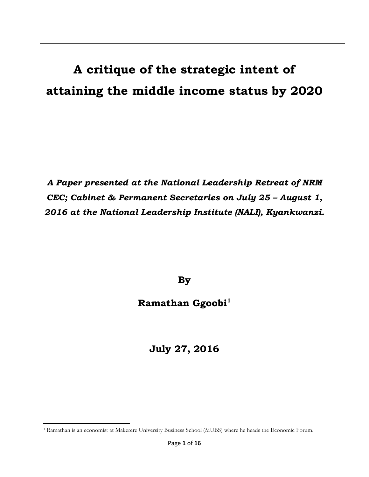# **A critique of the strategic intent of attaining the middle income status by 2020**

*A Paper presented at the National Leadership Retreat of NRM CEC; Cabinet & Permanent Secretaries on July 25 – August 1, 2016 at the National Leadership Institute (NALI), Kyankwanzi.* 

**By** 

**Ramathan Ggoobi<sup>1</sup>**

**July 27, 2016**

 $\overline{a}$ <sup>1</sup> Ramathan is an economist at Makerere University Business School (MUBS) where he heads the Economic Forum.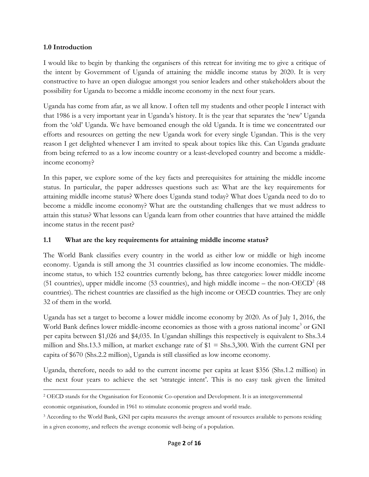#### **1.0 Introduction**

 $\overline{\phantom{a}}$ 

I would like to begin by thanking the organisers of this retreat for inviting me to give a critique of the intent by Government of Uganda of attaining the middle income status by 2020. It is very constructive to have an open dialogue amongst you senior leaders and other stakeholders about the possibility for Uganda to become a middle income economy in the next four years.

Uganda has come from afar, as we all know. I often tell my students and other people I interact with that 1986 is a very important year in Uganda's history. It is the year that separates the 'new' Uganda from the 'old' Uganda. We have bemoaned enough the old Uganda. It is time we concentrated our efforts and resources on getting the new Uganda work for every single Ugandan. This is the very reason I get delighted whenever I am invited to speak about topics like this. Can Uganda graduate from being referred to as a low income country or a least-developed country and become a middleincome economy?

In this paper, we explore some of the key facts and prerequisites for attaining the middle income status. In particular, the paper addresses questions such as: What are the key requirements for attaining middle income status? Where does Uganda stand today? What does Uganda need to do to become a middle income economy? What are the outstanding challenges that we must address to attain this status? What lessons can Uganda learn from other countries that have attained the middle income status in the recent past?

#### **1.1 What are the key requirements for attaining middle income status?**

The World Bank classifies every country in the world as either low or middle or high income economy. Uganda is still among the 31 countries classified as low income economies. The middleincome status, to which 152 countries currently belong, has three categories: lower middle income (51 countries), upper middle income (53 countries), and high middle income – the non-OECD<sup>2</sup> (48 countries). The richest countries are classified as the high income or OECD countries. They are only 32 of them in the world.

Uganda has set a target to become a lower middle income economy by 2020. As of July 1, 2016, the World Bank defines lower middle-income economies as those with a gross national income<sup>3</sup> or GNI per capita between \$1,026 and \$4,035. In Ugandan shillings this respectively is equivalent to Shs.3.4 million and Shs.13.3 million, at market exchange rate of \$1 = Shs.3,300. With the current GNI per capita of \$670 (Shs.2.2 million), Uganda is still classified as low income economy.

Uganda, therefore, needs to add to the current income per capita at least \$356 (Shs.1.2 million) in the next four years to achieve the set 'strategic intent'. This is no easy task given the limited

<sup>2</sup> OECD stands for the Organisation for Economic Co-operation and Development. It is an intergovernmental

economic organisation, founded in 1961 to stimulate economic progress and world trade.

<sup>&</sup>lt;sup>3</sup> According to the World Bank, GNI per capita measures the average amount of resources available to persons residing in a given economy, and reflects the average economic well-being of a population.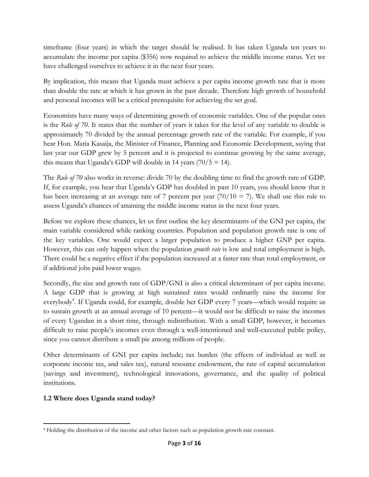timeframe (four years) in which the target should be realised. It has taken Uganda ten years to accumulate the income per capita (\$356) now required to achieve the middle income status. Yet we have challenged ourselves to achieve it in the next four years.

By implication, this means that Uganda must achieve a per capita income growth rate that is more than double the rate at which it has grown in the past decade. Therefore high growth of household and personal incomes will be a critical prerequisite for achieving the set goal.

Economists have many ways of determining growth of economic variables. One of the popular ones is the *Rule of 70*. It states that the number of years it takes for the level of any variable to double is approximately 70 divided by the annual percentage growth rate of the variable. For example, if you hear Hon. Matia Kasaija, the Minister of Finance, Planning and Economic Development, saying that last year our GDP grew by 5 percent and it is projected to continue growing by the same average, this means that Uganda's GDP will double in 14 years  $(70/5 = 14)$ .

The *Rule of 70* also works in reverse: divide 70 by the doubling time to find the growth rate of GDP. If, for example, you hear that Uganda's GDP has doubled in past 10 years, you should know that it has been increasing at an average rate of 7 percent per year  $(70/10 = 7)$ . We shall use this rule to assess Uganda's chances of attaining the middle income status in the next four years.

Before we explore these chances, let us first outline the key determinants of the GNI per capita, the main variable considered while ranking countries. Population and population growth rate is one of the key variables. One would expect a larger population to produce a higher GNP per capita. However, this can only happen when the population *growth rate* is low and total employment is high. There could be a negative effect if the population increased at a faster rate than total employment, or if additional jobs paid lower wages.

Secondly, the size and growth rate of GDP/GNI is also a critical determinant of per capita income. A large GDP that is growing at high sustained rates would ordinarily raise the income for everybody<sup>4</sup>. If Uganda could, for example, double her GDP every 7 years—which would require us to sustain growth at an annual average of 10 percent—it would not be difficult to raise the incomes of every Ugandan in a short time, through redistribution. With a small GDP, however, it becomes difficult to raise people's incomes even through a well-intentioned and well-executed public policy, since you cannot distribute a small pie among millions of people.

Other determinants of GNI per capita include; tax burden (the effects of individual as well as corporate income tax, and sales tax), natural resource endowment, the rate of capital accumulation (savings and investment), technological innovations, governance, and the quality of political institutions.

# **1.2 Where does Uganda stand today?**

 $\overline{a}$ <sup>4</sup> Holding the distribution of the income and other factors such as population growth rate constant.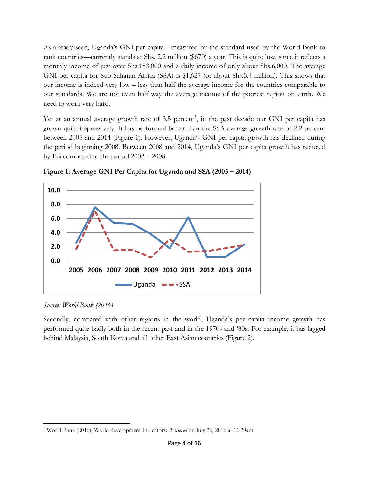As already seen, Uganda's GNI per capita—measured by the standard used by the World Bank to rank countries—currently stands at Shs. 2.2 million (\$670) a year. This is quite low, since it reflects a monthly income of just over Shs.183,000 and a daily income of only about Shs.6,000. The average GNI per capita for Sub-Saharan Africa (SSA) is \$1,627 (or about Shs.5.4 million). This shows that our income is indeed very low – less than half the average income for the countries comparable to our standards. We are not even half way the average income of the poorest region on earth. We need to work very hard.

Yet at an annual average growth rate of 3.5 percent<sup>5</sup>, in the past decade our GNI per capita has grown quite impressively. It has performed better than the SSA average growth rate of 2.2 percent between 2005 and 2014 (Figure 1). However, Uganda's GNI per capita growth has declined during the period beginning 2008. Between 2008 and 2014, Uganda's GNI per capita growth has reduced by  $1\%$  compared to the period  $2002 - 2008$ .



**Figure 1: Average GNI Per Capita for Uganda and SSA (2005 – 2014)**

*Source: World Bank (2016)*

Secondly, compared with other regions in the world, Uganda's per capita income growth has performed quite badly both in the recent past and in the 1970s and '80s. For example, it has lagged behind Malaysia, South Korea and all other East Asian countries (Figure 2).

 $\overline{a}$ <sup>5</sup> World Bank (2016), World development Indicators: *Retrieved* on July 26, 2016 at 11:29am.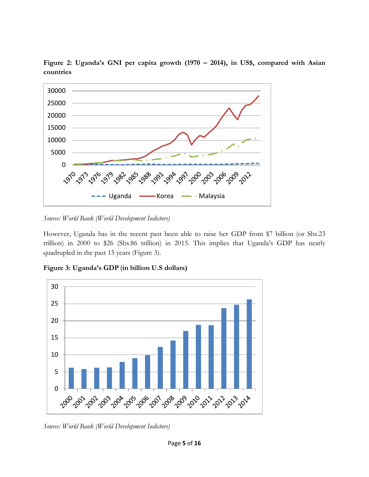

**Figure 2: Uganda's GNI per capita growth (1970 – 2014), in US\$, compared with Asian countries**

*Source: World Bank (World Development Indictors)* 

However, Uganda has in the recent past been able to raise her GDP from \$7 billion (or Shs.23 trillion) in 2000 to \$26 (Shs.86 trillion) in 2015. This implies that Uganda's GDP has nearly quadrupled in the past 15 years (Figure 3).

**Figure 3: Uganda's GDP** (**in billion U.S dollars)** 



*Source: World Bank (World Development Indictors)*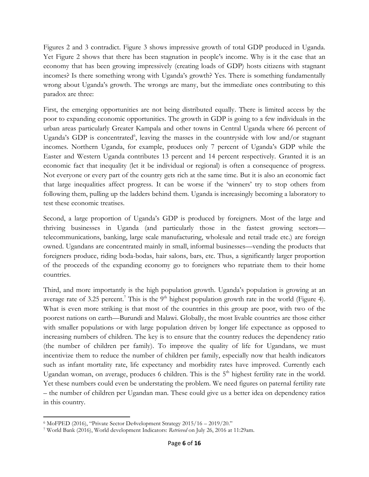Figures 2 and 3 contradict. Figure 3 shows impressive growth of total GDP produced in Uganda. Yet Figure 2 shows that there has been stagnation in people's income. Why is it the case that an economy that has been growing impressively (creating loads of GDP) hosts citizens with stagnant incomes? Is there something wrong with Uganda's growth? Yes. There is something fundamentally wrong about Uganda's growth. The wrongs are many, but the immediate ones contributing to this paradox are three:

First, the emerging opportunities are not being distributed equally. There is limited access by the poor to expanding economic opportunities. The growth in GDP is going to a few individuals in the urban areas particularly Greater Kampala and other towns in Central Uganda where 66 percent of Uganda's GDP is concentrated<sup>6</sup>, leaving the masses in the countryside with low and/or stagnant incomes. Northern Uganda, for example, produces only 7 percent of Uganda's GDP while the Easter and Western Uganda contributes 13 percent and 14 percent respectively. Granted it is an economic fact that inequality (let it be individual or regional) is often a consequence of progress. Not everyone or every part of the country gets rich at the same time. But it is also an economic fact that large inequalities affect progress. It can be worse if the 'winners' try to stop others from following them, pulling up the ladders behind them. Uganda is increasingly becoming a laboratory to test these economic treatises.

Second, a large proportion of Uganda's GDP is produced by foreigners. Most of the large and thriving businesses in Uganda (and particularly those in the fastest growing sectors telecommunications, banking, large scale manufacturing, wholesale and retail trade etc.) are foreign owned. Ugandans are concentrated mainly in small, informal businesses—vending the products that foreigners produce, riding boda-bodas, hair salons, bars, etc. Thus, a significantly larger proportion of the proceeds of the expanding economy go to foreigners who repatriate them to their home countries.

Third, and more importantly is the high population growth. Uganda's population is growing at an average rate of 3.25 percent.<sup>7</sup> This is the 9<sup>th</sup> highest population growth rate in the world (Figure 4). What is even more striking is that most of the countries in this group are poor, with two of the poorest nations on earth—Burundi and Malawi. Globally, the most livable countries are those either with smaller populations or with large population driven by longer life expectance as opposed to increasing numbers of children. The key is to ensure that the country reduces the dependency ratio (the number of children per family). To improve the quality of life for Ugandans, we must incentivize them to reduce the number of children per family, especially now that health indicators such as infant mortality rate, life expectancy and morbidity rates have improved. Currently each Ugandan woman, on average, produces 6 children. This is the 5<sup>th</sup> highest fertility rate in the world. Yet these numbers could even be understating the problem. We need figures on paternal fertility rate – the number of children per Ugandan man. These could give us a better idea on dependency ratios in this country.

 $\overline{\phantom{a}}$ <sup>6</sup> MoFPED (2016), "Private Sector De4velopment Strategy 2015/16 – 2019/20."

<sup>7</sup> World Bank (2016), World development Indicators: *Retrieved* on July 26, 2016 at 11:29am.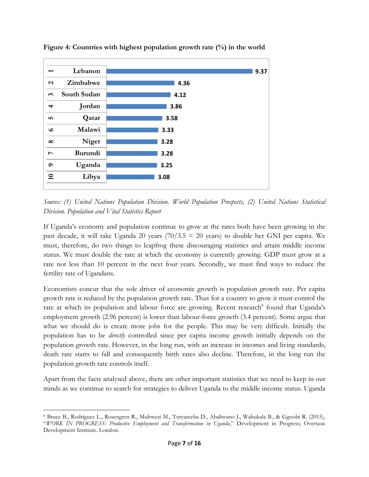

**Figure 4: Countries with highest population growth rate (%) in the world**

*Source: (1) United Nations Population Division. World Population Prospects, (2) United Nations Statistical Division. Population and Vital Statistics Report*

If Uganda's economy and population continue to grow at the rates both have been growing in the past decade, it will take Uganda 20 years  $(70/3.5 = 20$  years) to double her GNI per capita. We must, therefore, do two things to leapfrog these discouraging statistics and attain middle income status. We must double the rate at which the economy is currently growing. GDP must grow at a rate not less than 10 percent in the next four years. Secondly, we must find ways to reduce the fertility rate of Ugandans.

Economists concur that the sole driver of economic growth is population growth rate. Per capita growth rate is reduced by the population growth rate. Thus for a country to grow it must control the rate at which its population and labour force are growing. Recent research<sup>8</sup> found that Uganda's employment growth (2.96 percent) is lower than labour-force growth (3.4 percent). Some argue that what we should do is create more jobs for the people. This may be very difficult. Initially the population has to be *directly* controlled since per capita income growth initially depends on the population growth rate. However, in the long run, with an increase in incomes and living standards, death rate starts to fall and consequently birth rates also decline. Therefore, in the long run the population growth rate controls itself.

Apart from the facts analysed above, there are other important statistics that we need to keep in our minds as we continue to search for strategies to deliver Uganda to the middle income status. Uganda

l

<sup>8</sup> Bruce B., Rodríguez L., Rosengren R., Muhwezi M., Turyareeba D., Abaliwano J., Wabukala B., & Ggoobi R. (2015), "*WORK IN PROGRESS: Productive Employment and Transformation in Uganda*," Development in Progress; Overseas Development Institute. London.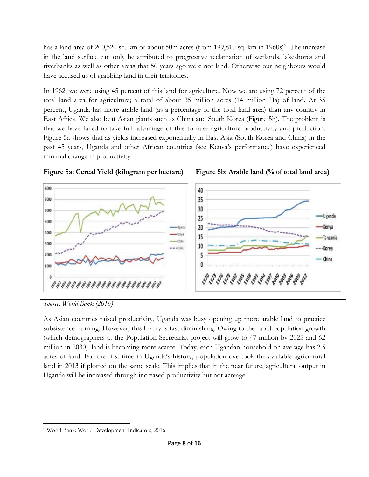has a land area of 200,520 sq. km or about 50m acres (from 199,810 sq. km in 1960s)<sup>9</sup>. The increase in the land surface can only be attributed to progressive reclamation of wetlands, lakeshores and riverbanks as well as other areas that 50 years ago were not land. Otherwise our neighbours would have accused us of grabbing land in their territories.

In 1962, we were using 45 percent of this land for agriculture. Now we are using 72 percent of the total land area for agriculture; a total of about 35 million acres (14 million Ha) of land. At 35 percent, Uganda has more arable land (as a percentage of the total land area) than any country in East Africa. We also beat Asian giants such as China and South Korea (Figure 5b). The problem is that we have failed to take full advantage of this to raise agriculture productivity and production. Figure 5a shows that as yields increased exponentially in East Asia (South Korea and China) in the past 45 years, Uganda and other African countries (see Kenya's performance) have experienced minimal change in productivity.



*Source: World Bank (2016)* 

As Asian countries raised productivity, Uganda was busy opening up more arable land to practice subsistence farming. However, this luxury is fast diminishing. Owing to the rapid population growth (which demographers at the Population Secretariat project will grow to 47 million by 2025 and 62 million in 2030), land is becoming more scarce. Today, each Ugandan household on average has 2.5 acres of land. For the first time in Uganda's history, population overtook the available agricultural land in 2013 if plotted on the same scale. This implies that in the near future, agricultural output in Uganda will be increased through increased productivity but not acreage.

 $\overline{a}$ <sup>9</sup> World Bank: World Development Indicators, 2016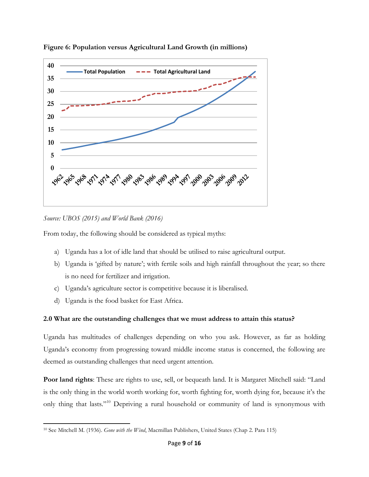

**Figure 6: Population versus Agricultural Land Growth (in millions)** 

*Source: UBOS (2015) and World Bank (2016)*

From today, the following should be considered as typical myths:

- a) Uganda has a lot of idle land that should be utilised to raise agricultural output.
- b) Uganda is 'gifted by nature'; with fertile soils and high rainfall throughout the year; so there is no need for fertilizer and irrigation.
- c) Uganda's agriculture sector is competitive because it is liberalised.
- d) Uganda is the food basket for East Africa.

# **2.0 What are the outstanding challenges that we must address to attain this status?**

Uganda has multitudes of challenges depending on who you ask. However, as far as holding Uganda's economy from progressing toward middle income status is concerned, the following are deemed as outstanding challenges that need urgent attention.

**Poor land rights**: These are rights to use, sell, or bequeath land. It is Margaret Mitchell said: "Land is the only thing in the world worth working for, worth fighting for, worth dying for, because it's the only thing that lasts."<sup>10</sup> Depriving a rural household or community of land is synonymous with

 $\overline{a}$ <sup>10</sup> See Mitchell M. (1936). *Gone with the Wind*, Macmillan Publishers, United States (Chap 2. Para 115)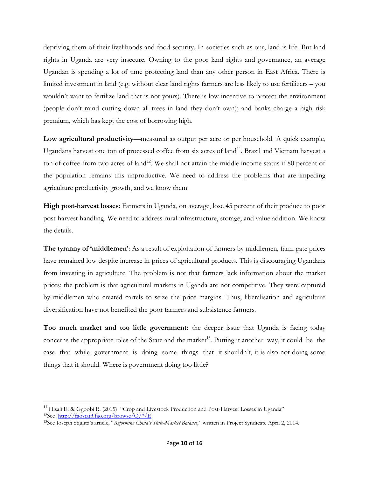depriving them of their livelihoods and food security. In societies such as our, land is life. But land rights in Uganda are very insecure. Owning to the poor land rights and governance, an average Ugandan is spending a lot of time protecting land than any other person in East Africa. There is limited investment in land (e.g. without clear land rights farmers are less likely to use fertilizers – you wouldn't want to fertilize land that is not yours). There is low incentive to protect the environment (people don't mind cutting down all trees in land they don't own); and banks charge a high risk premium, which has kept the cost of borrowing high.

**Low agricultural productivity**—measured as output per acre or per household. A quick example, Ugandans harvest one ton of processed coffee from six acres of land<sup>11</sup>. Brazil and Vietnam harvest a ton of coffee from two acres of land<sup>12</sup>. We shall not attain the middle income status if 80 percent of the population remains this unproductive. We need to address the problems that are impeding agriculture productivity growth, and we know them.

**High post-harvest losses**: Farmers in Uganda, on average, lose 45 percent of their produce to poor post-harvest handling. We need to address rural infrastructure, storage, and value addition. We know the details.

**The tyranny of 'middlemen'**: As a result of exploitation of farmers by middlemen, farm-gate prices have remained low despite increase in prices of agricultural products. This is discouraging Ugandans from investing in agriculture. The problem is not that farmers lack information about the market prices; the problem is that agricultural markets in Uganda are not competitive. They were captured by middlemen who created cartels to seize the price margins. Thus, liberalisation and agriculture diversification have not benefited the poor farmers and subsistence farmers.

**Too much market and too little government:** the deeper issue that Uganda is facing today concerns the appropriate roles of the State and the market<sup>13</sup>. Putting it another way, it could be the case that while government is doing some things that it shouldn't, it is also not doing some things that it should. Where is government doing too little?

 $\overline{\phantom{a}}$ 

<sup>&</sup>lt;sup>11</sup> Hisali E. & Ggoobi R. (2015) "Crop and Livestock Production and Post-Harvest Losses in Uganda" <sup>12</sup>See [http://faostat3.fao.org/browse/Q/\\*/E](http://faostat3.fao.org/browse/Q/*/E)

<sup>13</sup>See Joseph Stiglitz's article, "*Reforming China's State-Market Balance*," written in Project Syndicate April 2, 2014.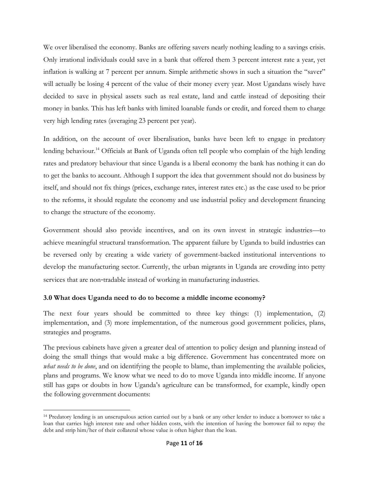We over liberalised the economy. Banks are offering savers nearly nothing leading to a savings crisis. Only irrational individuals could save in a bank that offered them 3 percent interest rate a year, yet inflation is walking at 7 percent per annum. Simple arithmetic shows in such a situation the "saver" will actually be losing 4 percent of the value of their money every year. Most Ugandans wisely have decided to save in physical assets such as real estate, land and cattle instead of depositing their money in banks. This has left banks with limited loanable funds or credit, and forced them to charge very high lending rates (averaging 23 percent per year).

In addition, on the account of over liberalisation, banks have been left to engage in predatory lending behaviour.<sup>14</sup> Officials at Bank of Uganda often tell people who complain of the high lending rates and predatory behaviour that since Uganda is a liberal economy the bank has nothing it can do to get the banks to account. Although I support the idea that government should not do business by itself, and should not fix things (prices, exchange rates, interest rates etc.) as the case used to be prior to the reforms, it should regulate the economy and use industrial policy and development financing to change the structure of the economy.

Government should also provide incentives, and on its own invest in strategic industries—to achieve meaningful structural transformation. The apparent failure by Uganda to build industries can be reversed only by creating a wide variety of government-backed institutional interventions to develop the manufacturing sector. Currently, the urban migrants in Uganda are crowding into petty services that are non-tradable instead of working in manufacturing industries.

### **3.0 What does Uganda need to do to become a middle income economy?**

l

The next four years should be committed to three key things: (1) implementation, (2) implementation, and (3) more implementation, of the numerous good government policies, plans, strategies and programs.

The previous cabinets have given a greater deal of attention to policy design and planning instead of doing the small things that would make a big difference. Government has concentrated more on *what needs to be done*, and on identifying the people to blame, than implementing the available policies, plans and programs. We know what we need to do to move Uganda into middle income. If anyone still has gaps or doubts in how Uganda's agriculture can be transformed, for example, kindly open the following government documents:

<sup>14</sup> Predatory lending is an unscrupulous action carried out by a bank or any other lender to induce a borrower to take a loan that carries high interest rate and other hidden costs, with the intention of having the borrower fail to repay the debt and strip him/her of their collateral whose value is often higher than the loan.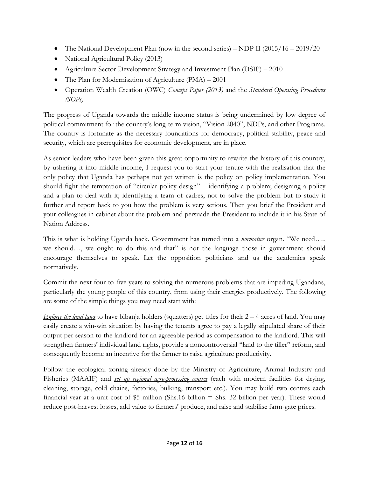- The National Development Plan (now in the second series) NDP II  $(2015/16 2019/20$
- National Agricultural Policy (2013)
- Agriculture Sector Development Strategy and Investment Plan (DSIP) 2010
- The Plan for Modernisation of Agriculture (PMA) 2001
- Operation Wealth Creation (OWC) *Concept Paper (2013)* and the *Standard Operating Procedures (SOPs)*

The progress of Uganda towards the middle income status is being undermined by low degree of political commitment for the country's long-term vision, "Vision 2040", NDPs, and other Programs. The country is fortunate as the necessary foundations for democracy, political stability, peace and security, which are prerequisites for economic development, are in place.

As senior leaders who have been given this great opportunity to rewrite the history of this country, by ushering it into middle income, I request you to start your tenure with the realisation that the only policy that Uganda has perhaps not yet written is the policy on policy implementation. You should fight the temptation of "circular policy design" – identifying a problem; designing a policy and a plan to deal with it; identifying a team of cadres, not to solve the problem but to study it further and report back to you how the problem is very serious. Then you brief the President and your colleagues in cabinet about the problem and persuade the President to include it in his State of Nation Address.

This is what is holding Uganda back. Government has turned into a *normative* organ. "We need…., we should…, we ought to do this and that" is not the language those in government should encourage themselves to speak. Let the opposition politicians and us the academics speak normatively.

Commit the next four-to-five years to solving the numerous problems that are impeding Ugandans, particularly the young people of this country, from using their energies productively. The following are some of the simple things you may need start with:

*Enforce the land laws* to have bibanja holders (squatters) get titles for their 2 – 4 acres of land. You may easily create a win-win situation by having the tenants agree to pay a legally stipulated share of their output per season to the landlord for an agreeable period as compensation to the landlord. This will strengthen farmers' individual land rights, provide a noncontroversial "land to the tiller" reform, and consequently become an incentive for the farmer to raise agriculture productivity.

Follow the ecological zoning already done by the Ministry of Agriculture, Animal Industry and Fisheries (MAAIF) and *set up regional agro-processing centres* (each with modern facilities for drying, cleaning, storage, cold chains, factories, bulking, transport etc.). You may build two centres each financial year at a unit cost of \$5 million (Shs.16 billion = Shs. 32 billion per year). These would reduce post-harvest losses, add value to farmers' produce, and raise and stabilise farm-gate prices.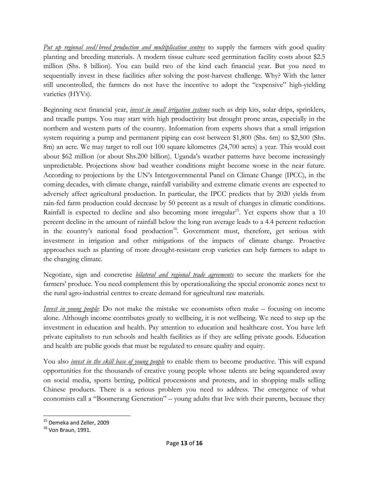*Put up regional seed/breed production and multiplication centres* to supply the farmers with good quality planting and breeding materials. A modern tissue culture seed germination facility costs about \$2.5 million (Shs. 8 billion). You can build two of the kind each financial year. But you need to sequentially invest in these facilities after solving the post-harvest challenge. Why? With the latter still uncontrolled, the farmers do not have the incentive to adopt the "expensive" high-yielding varieties (HYVs).

Beginning next financial year, *invest in small irrigation systems* such as drip kits, solar drips, sprinklers, and treadle pumps. You may start with high productivity but drought prone areas, especially in the northern and western parts of the country. Information from experts shows that a small irrigation system requiring a pump and permanent piping can cost between \$1,800 (Shs. 6m) to \$2,500 (Shs. 8m) an acre. We may target to roll out 100 square kilometres (24,700 acres) a year. This would cost about \$62 million (or about Shs.200 billion). Uganda's weather patterns have become increasingly unpredictable. Projections show bad weather conditions might become worse in the near future. According to projections by the UN's Intergovernmental Panel on Climate Change (IPCC), in the coming decades, with climate change, rainfall variability and extreme climatic events are expected to adversely affect agricultural production. In particular, the IPCC predicts that by 2020 yields from rain-fed farm production could decrease by 50 percent as a result of changes in climatic conditions. Rainfall is expected to decline and also becoming more irregular<sup>15</sup>. Yet experts show that a 10 percent decline in the amount of rainfall below the long run average leads to a 4.4 percent reduction in the country's national food production<sup>16</sup>. Government must, therefore, get serious with investment in irrigation and other mitigations of the impacts of climate change. Proactive approaches such as planting of more drought-resistant crop varieties can help farmers to adapt to the changing climate.

Negotiate, sign and concretise *bilateral and regional trade agreements* to secure the markets for the farmers' produce. You need complement this by operationalizing the special economic zones next to the rural agro-industrial centres to create demand for agricultural raw materials.

*Invest in young people*: Do not make the mistake we economists often make – focusing on income alone. Although income contributes greatly to wellbeing, it is not wellbeing. We need to step up the investment in education and health. Pay attention to education and healthcare cost. You have left private capitalists to run schools and health facilities as if they are selling private goods. Education and health are public goods that must be regulated to ensure quality and equity.

You also *invest in the skill base of young people* to enable them to become productive. This will expand opportunities for the thousands of creative young people whose talents are being squandered away on social media, sports betting, political processions and protests, and in shopping malls selling Chinese products. There is a serious problem you need to address. The emergence of what economists call a "Boomerang Generation" – young adults that live with their parents, because they

l

<sup>&</sup>lt;sup>15</sup> Demeka and Zeller, 2009

<sup>16</sup> Von Braun, 1991.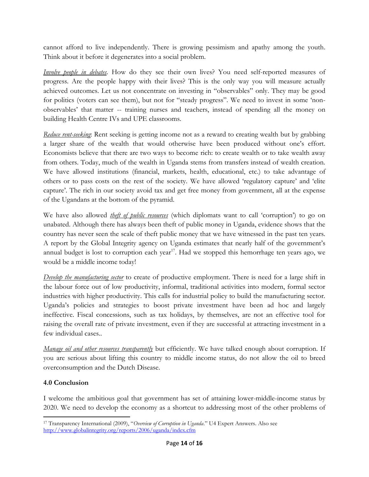cannot afford to live independently. There is growing pessimism and apathy among the youth. Think about it before it degenerates into a social problem.

*Involve people in debates*. How do they see their own lives? You need self-reported measures of progress. Are the people happy with their lives? This is the only way you will measure actually achieved outcomes. Let us not concentrate on investing in "observables" only. They may be good for politics (voters can see them), but not for "steady progress". We need to invest in some 'nonobservables' that matter -- training nurses and teachers, instead of spending all the money on building Health Centre IVs and UPE classrooms.

*Reduce rent-seeking*: Rent seeking is getting income not as a reward to creating wealth but by grabbing a larger share of the wealth that would otherwise have been produced without one's effort. Economists believe that there are two ways to become rich: to create wealth or to take wealth away from others. Today, much of the wealth in Uganda stems from transfers instead of wealth creation. We have allowed institutions (financial, markets, health, educational, etc.) to take advantage of others or to pass costs on the rest of the society. We have allowed 'regulatory capture' and 'elite capture'. The rich in our society avoid tax and get free money from government, all at the expense of the Ugandans at the bottom of the pyramid.

We have also allowed *theft of public resources* (which diplomats want to call 'corruption') to go on unabated. Although there has always been theft of public money in Uganda, evidence shows that the country has never seen the scale of theft public money that we have witnessed in the past ten years. A report by the Global Integrity agency on Uganda estimates that nearly half of the government's annual budget is lost to corruption each year<sup>17</sup>. Had we stopped this hemorrhage ten years ago, we would be a middle income today!

*Develop the manufacturing sector* to create of productive employment. There is need for a large shift in the labour force out of low productivity, informal, traditional activities into modern, formal sector industries with higher productivity. This calls for industrial policy to build the manufacturing sector. Uganda's policies and strategies to boost private investment have been ad hoc and largely ineffective. Fiscal concessions, such as tax holidays, by themselves, are not an effective tool for raising the overall rate of private investment, even if they are successful at attracting investment in a few individual cases..

*Manage oil and other resources transparently* but efficiently. We have talked enough about corruption. If you are serious about lifting this country to middle income status, do not allow the oil to breed overconsumption and the Dutch Disease.

# **4.0 Conclusion**

I welcome the ambitious goal that government has set of attaining lower-middle-income status by 2020. We need to develop the economy as a shortcut to addressing most of the other problems of

 $\overline{\phantom{a}}$ <sup>17</sup> Transparency International (2009), "*Overview of Corruption in Uganda*." U4 Expert Answers. Also see <http://www.globalintegrity.org/reports/2006/uganda/index.cfm>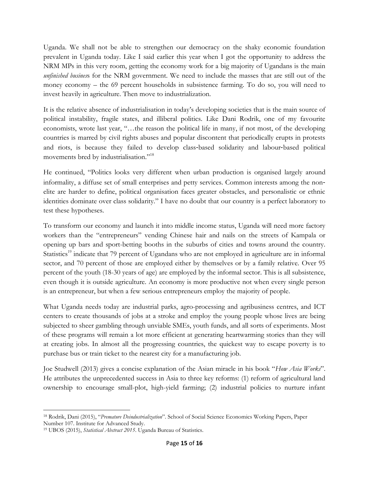Uganda. We shall not be able to strengthen our democracy on the shaky economic foundation prevalent in Uganda today. Like I said earlier this year when I got the opportunity to address the NRM MPs in this very room, getting the economy work for a big majority of Ugandans is the main *unfinished busines*s for the NRM government. We need to include the masses that are still out of the money economy – the 69 percent households in subsistence farming. To do so, you will need to invest heavily in agriculture. Then move to industrialization.

It is the relative absence of industrialisation in today's developing societies that is the main source of political instability, fragile states, and illiberal politics. Like Dani Rodrik, one of my favourite economists, wrote last year, "…the reason the political life in many, if not most, of the developing countries is marred by civil rights abuses and popular discontent that periodically erupts in protests and riots, is because they failed to develop class‐based solidarity and labour‐based political movements bred by industrialisation."<sup>18</sup>

He continued, "Politics looks very different when urban production is organised largely around informality, a diffuse set of small enterprises and petty services. Common interests among the non‐ elite are harder to define, political organisation faces greater obstacles, and personalistic or ethnic identities dominate over class solidarity." I have no doubt that our country is a perfect laboratory to test these hypotheses.

To transform our economy and launch it into middle income status, Uganda will need more factory workers than the "entrepreneurs" vending Chinese hair and nails on the streets of Kampala or opening up bars and sport-betting booths in the suburbs of cities and towns around the country. Statistics<sup>19</sup> indicate that 79 percent of Ugandans who are not employed in agriculture are in informal sector, and 70 percent of those are employed either by themselves or by a family relative. Over 95 percent of the youth (18-30 years of age) are employed by the informal sector. This is all subsistence, even though it is outside agriculture. An economy is more productive not when every single person is an entrepreneur, but when a few serious entrepreneurs employ the majority of people.

What Uganda needs today are industrial parks, agro-processing and agribusiness centres, and ICT centers to create thousands of jobs at a stroke and employ the young people whose lives are being subjected to sheer gambling through unviable SMEs, youth funds, and all sorts of experiments. Most of these programs will remain a lot more efficient at generating heartwarming stories than they will at creating jobs. In almost all the progressing countries, the quickest way to escape poverty is to purchase bus or train ticket to the nearest city for a manufacturing job.

Joe Studwell (2013) gives a concise explanation of the Asian miracle in his book "*How Asia Works*". He attributes the unprecedented success in Asia to three key reforms: (1) reform of agricultural land ownership to encourage small-plot, high-yield farming; (2) industrial policies to nurture infant

l <sup>18</sup> Rodrik, Dani (2015), "*Premature Deindustrialization*". School of Social Science Economics Working Papers, Paper Number 107. Institute for Advanced Study.

<sup>19</sup> UBOS (2015), *Statistical Abstract 2015*. Uganda Bureau of Statistics.